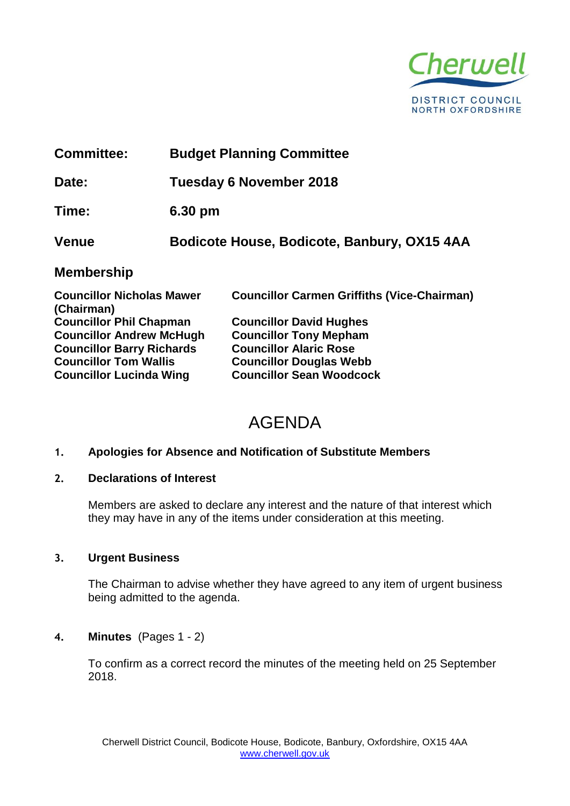

| <b>Committee:</b>                              |  | <b>Budget Planning Committee</b>                   |  |
|------------------------------------------------|--|----------------------------------------------------|--|
| Date:                                          |  | <b>Tuesday 6 November 2018</b>                     |  |
| Time:                                          |  | 6.30 pm                                            |  |
| <b>Venue</b>                                   |  | Bodicote House, Bodicote, Banbury, OX15 4AA        |  |
| <b>Membership</b>                              |  |                                                    |  |
| <b>Councillor Nicholas Mawer</b><br>(Chairman) |  | <b>Councillor Carmen Griffiths (Vice-Chairman)</b> |  |
| <b>Councillor Phil Chapman</b>                 |  | <b>Councillor David Hughes</b>                     |  |
| <b>Councillor Andrew McHugh</b>                |  | <b>Councillor Tony Mepham</b>                      |  |
| <b>Councillor Barry Richards</b>               |  | <b>Councillor Alaric Rose</b>                      |  |
| <b>Councillor Tom Wallis</b>                   |  | <b>Councillor Douglas Webb</b>                     |  |

**Councillor Lucinda Wing Councillor Sean Woodcock**

# AGENDA

# **1. Apologies for Absence and Notification of Substitute Members**

#### **2. Declarations of Interest**

Members are asked to declare any interest and the nature of that interest which they may have in any of the items under consideration at this meeting.

#### **3. Urgent Business**

The Chairman to advise whether they have agreed to any item of urgent business being admitted to the agenda.

# **4. Minutes** (Pages 1 - 2)

To confirm as a correct record the minutes of the meeting held on 25 September 2018.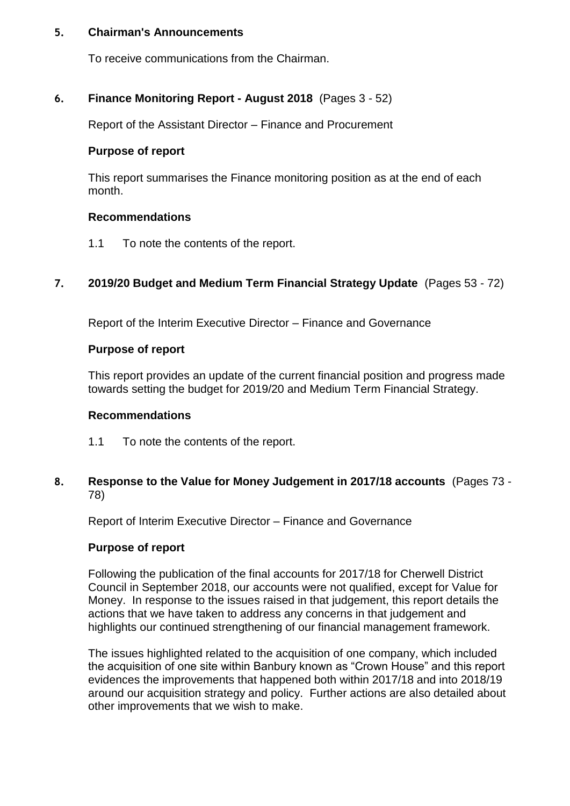#### **5. Chairman's Announcements**

To receive communications from the Chairman.

#### **6. Finance Monitoring Report - August 2018** (Pages 3 - 52)

Report of the Assistant Director – Finance and Procurement

#### **Purpose of report**

This report summarises the Finance monitoring position as at the end of each month.

#### **Recommendations**

1.1 To note the contents of the report.

## **7. 2019/20 Budget and Medium Term Financial Strategy Update** (Pages 53 - 72)

Report of the Interim Executive Director – Finance and Governance

#### **Purpose of report**

This report provides an update of the current financial position and progress made towards setting the budget for 2019/20 and Medium Term Financial Strategy.

#### **Recommendations**

- 1.1 To note the contents of the report.
- **8. Response to the Value for Money Judgement in 2017/18 accounts** (Pages 73 78)

Report of Interim Executive Director – Finance and Governance

#### **Purpose of report**

Following the publication of the final accounts for 2017/18 for Cherwell District Council in September 2018, our accounts were not qualified, except for Value for Money. In response to the issues raised in that judgement, this report details the actions that we have taken to address any concerns in that judgement and highlights our continued strengthening of our financial management framework.

The issues highlighted related to the acquisition of one company, which included the acquisition of one site within Banbury known as "Crown House" and this report evidences the improvements that happened both within 2017/18 and into 2018/19 around our acquisition strategy and policy. Further actions are also detailed about other improvements that we wish to make.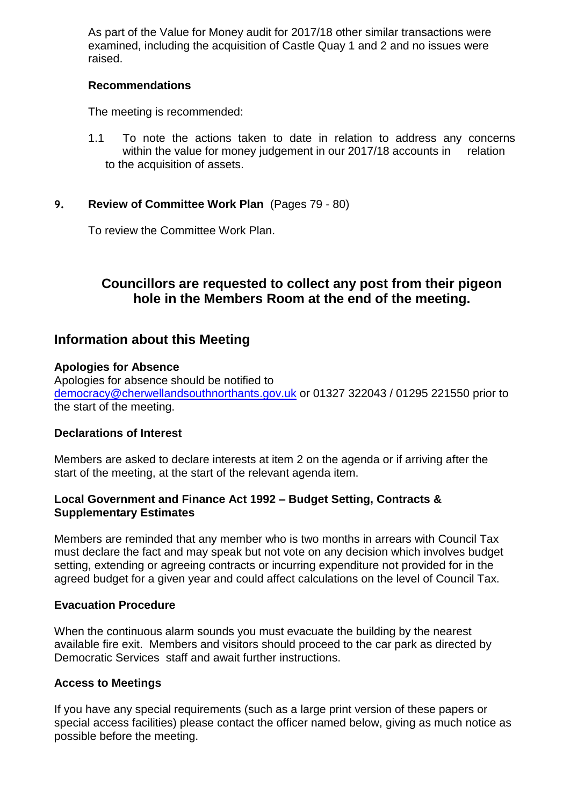As part of the Value for Money audit for 2017/18 other similar transactions were examined, including the acquisition of Castle Quay 1 and 2 and no issues were raised.

#### **Recommendations**

The meeting is recommended:

1.1 To note the actions taken to date in relation to address any concerns within the value for money judgement in our 2017/18 accounts in relation to the acquisition of assets.

## **9. Review of Committee Work Plan** (Pages 79 - 80)

To review the Committee Work Plan.

# **Councillors are requested to collect any post from their pigeon hole in the Members Room at the end of the meeting.**

# **Information about this Meeting**

#### **Apologies for Absence**

Apologies for absence should be notified to [democracy@cherwellandsouthnorthants.gov.uk](mailto:democracy@cherwell-dc.gov.uk) or 01327 322043 / 01295 221550 prior to the start of the meeting.

#### **Declarations of Interest**

Members are asked to declare interests at item 2 on the agenda or if arriving after the start of the meeting, at the start of the relevant agenda item.

## **Local Government and Finance Act 1992 – Budget Setting, Contracts & Supplementary Estimates**

Members are reminded that any member who is two months in arrears with Council Tax must declare the fact and may speak but not vote on any decision which involves budget setting, extending or agreeing contracts or incurring expenditure not provided for in the agreed budget for a given year and could affect calculations on the level of Council Tax.

#### **Evacuation Procedure**

When the continuous alarm sounds you must evacuate the building by the nearest available fire exit. Members and visitors should proceed to the car park as directed by Democratic Services staff and await further instructions.

#### **Access to Meetings**

If you have any special requirements (such as a large print version of these papers or special access facilities) please contact the officer named below, giving as much notice as possible before the meeting.